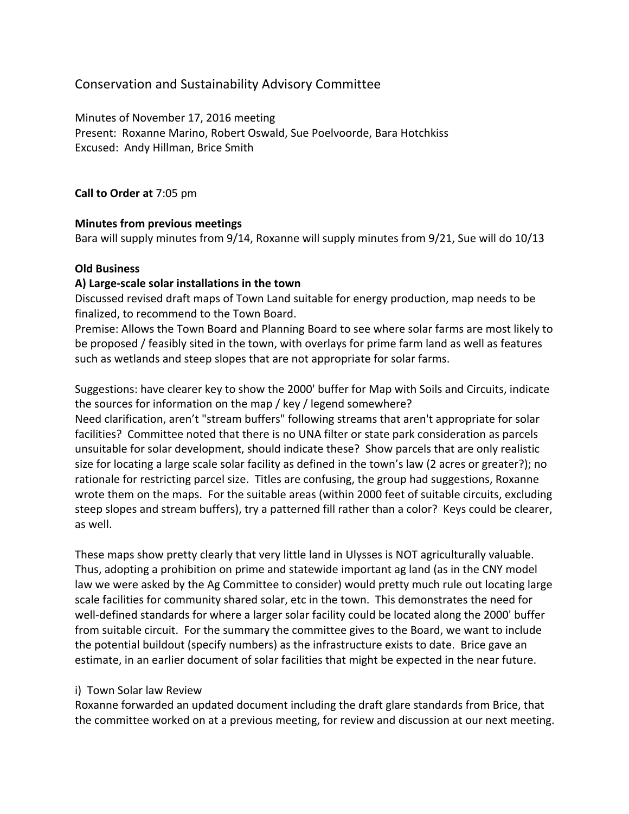# Conservation and Sustainability Advisory Committee

Minutes of November 17, 2016 meeting Present: Roxanne Marino, Robert Oswald, Sue Poelvoorde, Bara Hotchkiss Excused: Andy Hillman, Brice Smith

**Call to Order at** 7:05 pm

#### **Minutes from previous meetings**

Bara will supply minutes from  $9/14$ , Roxanne will supply minutes from  $9/21$ , Sue will do 10/13

### **Old Business**

#### **A) Large-scale solar installations in the town**

Discussed revised draft maps of Town Land suitable for energy production, map needs to be finalized, to recommend to the Town Board.

Premise: Allows the Town Board and Planning Board to see where solar farms are most likely to be proposed / feasibly sited in the town, with overlays for prime farm land as well as features such as wetlands and steep slopes that are not appropriate for solar farms.

Suggestions: have clearer key to show the 2000' buffer for Map with Soils and Circuits, indicate the sources for information on the map / key / legend somewhere?

Need clarification, aren't "stream buffers" following streams that aren't appropriate for solar facilities? Committee noted that there is no UNA filter or state park consideration as parcels unsuitable for solar development, should indicate these? Show parcels that are only realistic size for locating a large scale solar facility as defined in the town's law (2 acres or greater?); no rationale for restricting parcel size. Titles are confusing, the group had suggestions, Roxanne wrote them on the maps. For the suitable areas (within 2000 feet of suitable circuits, excluding steep slopes and stream buffers), try a patterned fill rather than a color? Keys could be clearer, as well.

These maps show pretty clearly that very little land in Ulysses is NOT agriculturally valuable. Thus, adopting a prohibition on prime and statewide important ag land (as in the CNY model law we were asked by the Ag Committee to consider) would pretty much rule out locating large scale facilities for community shared solar, etc in the town. This demonstrates the need for well-defined standards for where a larger solar facility could be located along the 2000' buffer from suitable circuit. For the summary the committee gives to the Board, we want to include the potential buildout (specify numbers) as the infrastructure exists to date. Brice gave an estimate, in an earlier document of solar facilities that might be expected in the near future.

### i) Town Solar law Review

Roxanne forwarded an updated document including the draft glare standards from Brice, that the committee worked on at a previous meeting, for review and discussion at our next meeting.